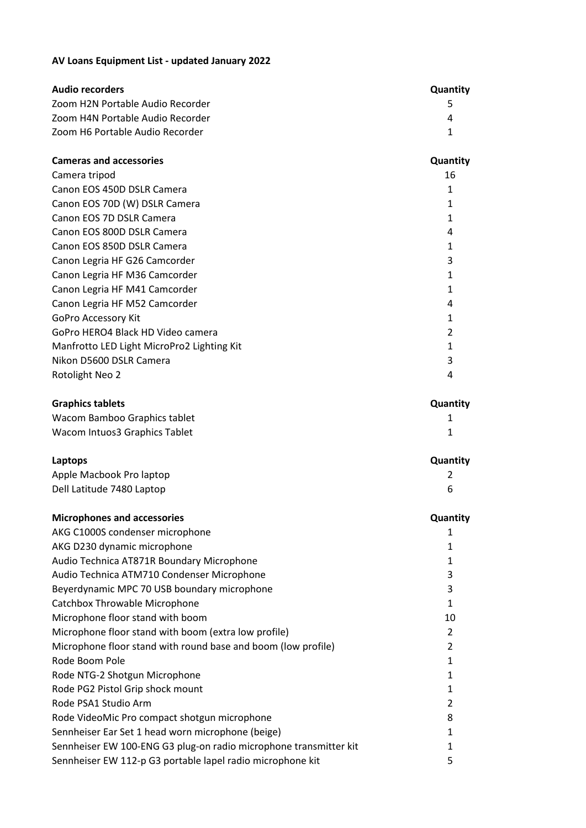## **AV Loans Equipment List - updated January 2022**

| <b>Audio recorders</b>           | <b>Quantity</b> |
|----------------------------------|-----------------|
| Zoom H2N Portable Audio Recorder | ь.              |
| Zoom H4N Portable Audio Recorder |                 |
| Zoom H6 Portable Audio Recorder  |                 |

| <b>Cameras and accessories</b>             | <b>Quantity</b> |
|--------------------------------------------|-----------------|
| Camera tripod                              | 16              |
| Canon EOS 450D DSLR Camera                 |                 |
| Canon EOS 70D (W) DSLR Camera              |                 |
| Canon EOS 7D DSLR Camera                   |                 |
| Canon EOS 800D DSLR Camera                 | 4               |
| Canon EOS 850D DSLR Camera                 | 1               |
| Canon Legria HF G26 Camcorder              | 3               |
| Canon Legria HF M36 Camcorder              |                 |
| Canon Legria HF M41 Camcorder              |                 |
| Canon Legria HF M52 Camcorder              | 4               |
| <b>GoPro Accessory Kit</b>                 | 1               |
| GoPro HERO4 Black HD Video camera          | $\mathfrak{p}$  |
| Manfrotto LED Light MicroPro2 Lighting Kit |                 |
| Nikon D5600 DSLR Camera                    |                 |
| Rotolight Neo 2                            |                 |

| <b>Graphics tablets</b>       | Quantity |
|-------------------------------|----------|
| Wacom Bamboo Graphics tablet  |          |
| Wacom Intuos3 Graphics Tablet |          |

| Laptops                   | <b>Quantity</b> |
|---------------------------|-----------------|
| Apple Macbook Pro laptop  |                 |
| Dell Latitude 7480 Laptop |                 |

| <b>Microphones and accessories</b>                                | Quantity      |
|-------------------------------------------------------------------|---------------|
| AKG C1000S condenser microphone                                   |               |
| AKG D230 dynamic microphone                                       |               |
| Audio Technica AT871R Boundary Microphone                         | 1             |
| Audio Technica ATM710 Condenser Microphone                        | 3             |
| Beyerdynamic MPC 70 USB boundary microphone                       | 3             |
| Catchbox Throwable Microphone                                     | 1             |
| Microphone floor stand with boom                                  | 10            |
| Microphone floor stand with boom (extra low profile)              | 2             |
| Microphone floor stand with round base and boom (low profile)     | $\mathcal{P}$ |
| Rode Boom Pole                                                    | 1             |
| Rode NTG-2 Shotgun Microphone                                     | 1             |
| Rode PG2 Pistol Grip shock mount                                  | 1             |
| Rode PSA1 Studio Arm                                              | 2             |
| Rode VideoMic Pro compact shotgun microphone                      | 8             |
| Sennheiser Ear Set 1 head worn microphone (beige)                 | 1             |
| Sennheiser EW 100-ENG G3 plug-on radio microphone transmitter kit |               |
| Sennheiser EW 112-p G3 portable lapel radio microphone kit        | 5             |